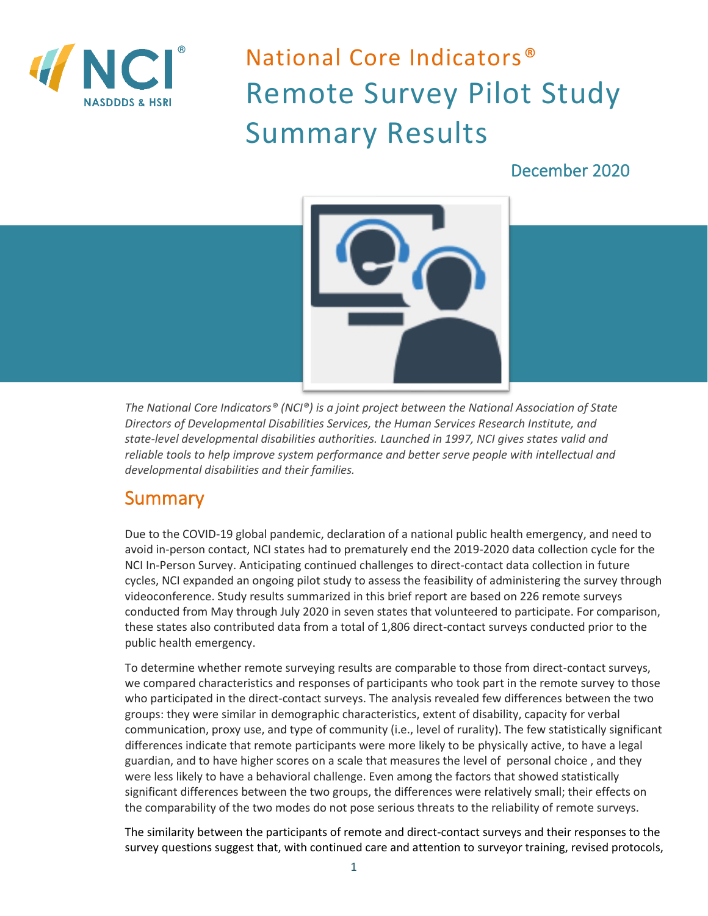

# National Core Indicators® Remote Survey Pilot Study Summary Results

#### December 2020



*The National Core Indicators® (NCI®) is a joint project between the National Association of State Directors of Developmental Disabilities Services, the Human Services Research Institute, and state-level developmental disabilities authorities. Launched in 1997, NCI gives states valid and reliable tools to help improve system performance and better serve people with intellectual and developmental disabilities and their families.* 

#### **Summary**

Due to the COVID-19 global pandemic, declaration of a national public health emergency, and need to avoid in-person contact, NCI states had to prematurely end the 2019-2020 data collection cycle for the NCI In-Person Survey. Anticipating continued challenges to direct-contact data collection in future cycles, NCI expanded an ongoing pilot study to assess the feasibility of administering the survey through videoconference. Study results summarized in this brief report are based on 226 remote surveys conducted from May through July 2020 in seven states that volunteered to participate. For comparison, these states also contributed data from a total of 1,806 direct-contact surveys conducted prior to the public health emergency.

To determine whether remote surveying results are comparable to those from direct-contact surveys, we compared characteristics and responses of participants who took part in the remote survey to those who participated in the direct-contact surveys. The analysis revealed few differences between the two groups: they were similar in demographic characteristics, extent of disability, capacity for verbal communication, proxy use, and type of community (i.e., level of rurality). The few statistically significant differences indicate that remote participants were more likely to be physically active, to have a legal guardian, and to have higher scores on a scale that measures the level of personal choice , and they were less likely to have a behavioral challenge. Even among the factors that showed statistically significant differences between the two groups, the differences were relatively small; their effects on the comparability of the two modes do not pose serious threats to the reliability of remote surveys.

The similarity between the participants of remote and direct-contact surveys and their responses to the survey questions suggest that, with continued care and attention to surveyor training, revised protocols,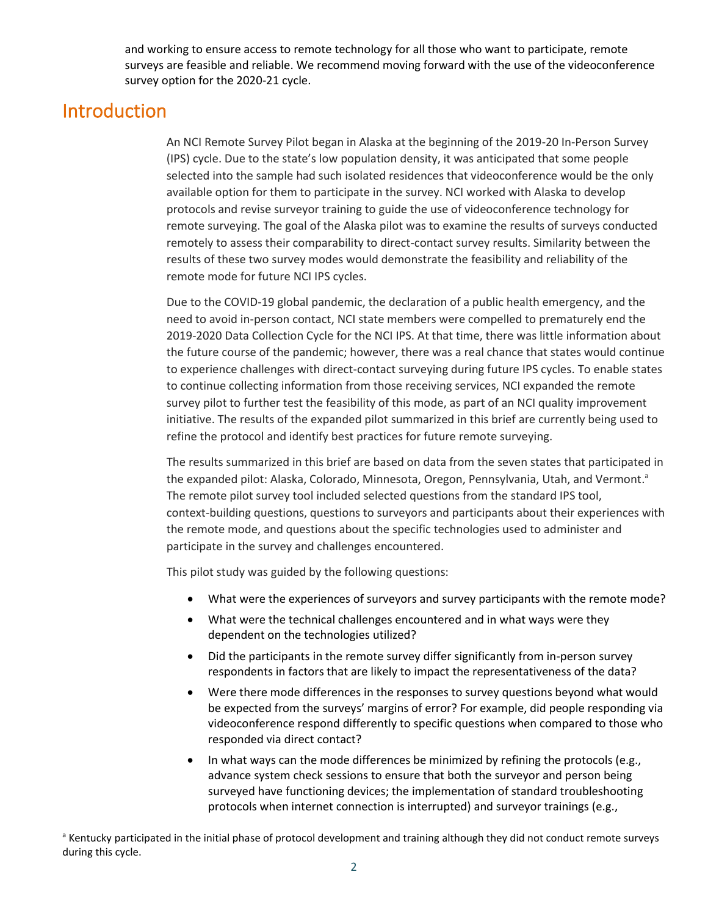and working to ensure access to remote technology for all those who want to participate, remote surveys are feasible and reliable. We recommend moving forward with the use of the videoconference survey option for the 2020-21 cycle.

### Introduction

An NCI Remote Survey Pilot began in Alaska at the beginning of the 2019-20 In-Person Survey (IPS) cycle. Due to the state's low population density, it was anticipated that some people selected into the sample had such isolated residences that videoconference would be the only available option for them to participate in the survey. NCI worked with Alaska to develop protocols and revise surveyor training to guide the use of videoconference technology for remote surveying. The goal of the Alaska pilot was to examine the results of surveys conducted remotely to assess their comparability to direct-contact survey results. Similarity between the results of these two survey modes would demonstrate the feasibility and reliability of the remote mode for future NCI IPS cycles.

Due to the COVID-19 global pandemic, the declaration of a public health emergency, and the need to avoid in-person contact, NCI state members were compelled to prematurely end the 2019-2020 Data Collection Cycle for the NCI IPS. At that time, there was little information about the future course of the pandemic; however, there was a real chance that states would continue to experience challenges with direct-contact surveying during future IPS cycles. To enable states to continue collecting information from those receiving services, NCI expanded the remote survey pilot to further test the feasibility of this mode, as part of an NCI quality improvement initiative. The results of the expanded pilot summarized in this brief are currently being used to refine the protocol and identify best practices for future remote surveying.

The results summarized in this brief are based on data from the seven states that participated in the expanded pilot: Alaska, Colorado, Minnesota, Oregon, Pennsylvania, Utah, and Vermont.<sup>a</sup> The remote pilot survey tool included selected questions from the standard IPS tool, context-building questions, questions to surveyors and participants about their experiences with the remote mode, and questions about the specific technologies used to administer and participate in the survey and challenges encountered.

This pilot study was guided by the following questions:

- What were the experiences of surveyors and survey participants with the remote mode?
- What were the technical challenges encountered and in what ways were they dependent on the technologies utilized?
- Did the participants in the remote survey differ significantly from in-person survey respondents in factors that are likely to impact the representativeness of the data?
- Were there mode differences in the responses to survey questions beyond what would be expected from the surveys' margins of error? For example, did people responding via videoconference respond differently to specific questions when compared to those who responded via direct contact?
- In what ways can the mode differences be minimized by refining the protocols (e.g., advance system check sessions to ensure that both the surveyor and person being surveyed have functioning devices; the implementation of standard troubleshooting protocols when internet connection is interrupted) and surveyor trainings (e.g.,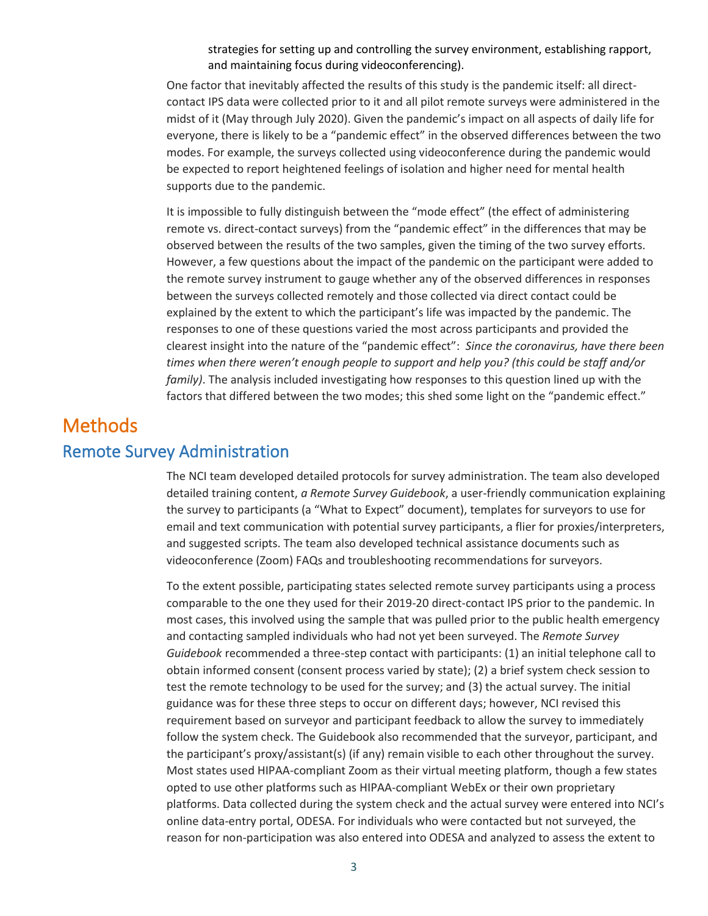strategies for setting up and controlling the survey environment, establishing rapport, and maintaining focus during videoconferencing).

One factor that inevitably affected the results of this study is the pandemic itself: all directcontact IPS data were collected prior to it and all pilot remote surveys were administered in the midst of it (May through July 2020). Given the pandemic's impact on all aspects of daily life for everyone, there is likely to be a "pandemic effect" in the observed differences between the two modes. For example, the surveys collected using videoconference during the pandemic would be expected to report heightened feelings of isolation and higher need for mental health supports due to the pandemic.

It is impossible to fully distinguish between the "mode effect" (the effect of administering remote vs. direct-contact surveys) from the "pandemic effect" in the differences that may be observed between the results of the two samples, given the timing of the two survey efforts. However, a few questions about the impact of the pandemic on the participant were added to the remote survey instrument to gauge whether any of the observed differences in responses between the surveys collected remotely and those collected via direct contact could be explained by the extent to which the participant's life was impacted by the pandemic. The responses to one of these questions varied the most across participants and provided the clearest insight into the nature of the "pandemic effect": *Since the coronavirus, have there been times when there weren't enough people to support and help you? (this could be staff and/or family)*. The analysis included investigating how responses to this question lined up with the factors that differed between the two modes; this shed some light on the "pandemic effect."

## Methods Remote Survey Administration

The NCI team developed detailed protocols for survey administration. The team also developed detailed training content, *a Remote Survey Guidebook*, a user-friendly communication explaining the survey to participants (a "What to Expect" document), templates for surveyors to use for email and text communication with potential survey participants, a flier for proxies/interpreters, and suggested scripts. The team also developed technical assistance documents such as videoconference (Zoom) FAQs and troubleshooting recommendations for surveyors.

To the extent possible, participating states selected remote survey participants using a process comparable to the one they used for their 2019-20 direct-contact IPS prior to the pandemic. In most cases, this involved using the sample that was pulled prior to the public health emergency and contacting sampled individuals who had not yet been surveyed. The *Remote Survey Guidebook* recommended a three-step contact with participants: (1) an initial telephone call to obtain informed consent (consent process varied by state); (2) a brief system check session to test the remote technology to be used for the survey; and (3) the actual survey. The initial guidance was for these three steps to occur on different days; however, NCI revised this requirement based on surveyor and participant feedback to allow the survey to immediately follow the system check. The Guidebook also recommended that the surveyor, participant, and the participant's proxy/assistant(s) (if any) remain visible to each other throughout the survey. Most states used HIPAA-compliant Zoom as their virtual meeting platform, though a few states opted to use other platforms such as HIPAA-compliant WebEx or their own proprietary platforms. Data collected during the system check and the actual survey were entered into NCI's online data-entry portal, ODESA. For individuals who were contacted but not surveyed, the reason for non-participation was also entered into ODESA and analyzed to assess the extent to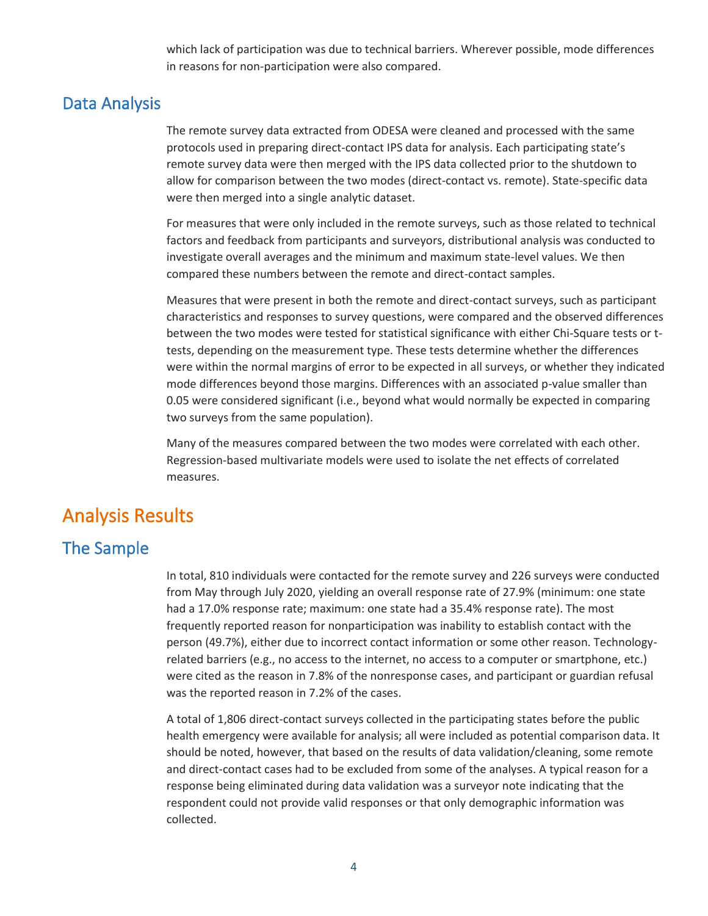which lack of participation was due to technical barriers. Wherever possible, mode differences in reasons for non-participation were also compared.

#### Data Analysis

The remote survey data extracted from ODESA were cleaned and processed with the same protocols used in preparing direct-contact IPS data for analysis. Each participating state's remote survey data were then merged with the IPS data collected prior to the shutdown to allow for comparison between the two modes (direct-contact vs. remote). State-specific data were then merged into a single analytic dataset.

For measures that were only included in the remote surveys, such as those related to technical factors and feedback from participants and surveyors, distributional analysis was conducted to investigate overall averages and the minimum and maximum state-level values. We then compared these numbers between the remote and direct-contact samples.

Measures that were present in both the remote and direct-contact surveys, such as participant characteristics and responses to survey questions, were compared and the observed differences between the two modes were tested for statistical significance with either Chi-Square tests or ttests, depending on the measurement type. These tests determine whether the differences were within the normal margins of error to be expected in all surveys, or whether they indicated mode differences beyond those margins. Differences with an associated p-value smaller than 0.05 were considered significant (i.e., beyond what would normally be expected in comparing two surveys from the same population).

Many of the measures compared between the two modes were correlated with each other. Regression-based multivariate models were used to isolate the net effects of correlated measures.

#### Analysis Results

#### The Sample

In total, 810 individuals were contacted for the remote survey and 226 surveys were conducted from May through July 2020, yielding an overall response rate of 27.9% (minimum: one state had a 17.0% response rate; maximum: one state had a 35.4% response rate). The most frequently reported reason for nonparticipation was inability to establish contact with the person (49.7%), either due to incorrect contact information or some other reason. Technologyrelated barriers (e.g., no access to the internet, no access to a computer or smartphone, etc.) were cited as the reason in 7.8% of the nonresponse cases, and participant or guardian refusal was the reported reason in 7.2% of the cases.

A total of 1,806 direct-contact surveys collected in the participating states before the public health emergency were available for analysis; all were included as potential comparison data. It should be noted, however, that based on the results of data validation/cleaning, some remote and direct-contact cases had to be excluded from some of the analyses. A typical reason for a response being eliminated during data validation was a surveyor note indicating that the respondent could not provide valid responses or that only demographic information was collected.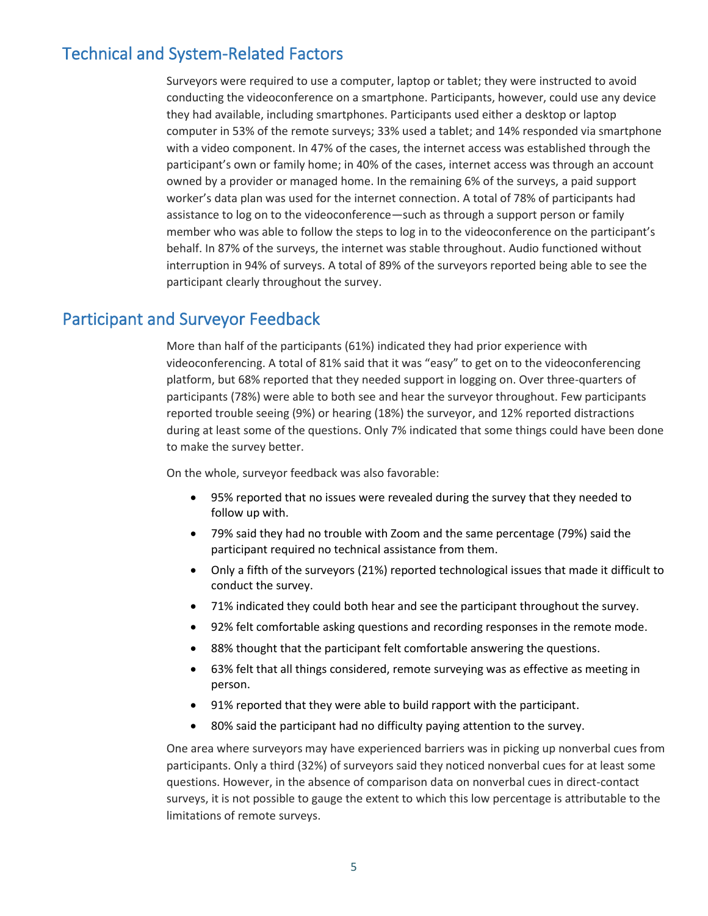#### Technical and System-Related Factors

Surveyors were required to use a computer, laptop or tablet; they were instructed to avoid conducting the videoconference on a smartphone. Participants, however, could use any device they had available, including smartphones. Participants used either a desktop or laptop computer in 53% of the remote surveys; 33% used a tablet; and 14% responded via smartphone with a video component. In 47% of the cases, the internet access was established through the participant's own or family home; in 40% of the cases, internet access was through an account owned by a provider or managed home. In the remaining 6% of the surveys, a paid support worker's data plan was used for the internet connection. A total of 78% of participants had assistance to log on to the videoconference—such as through a support person or family member who was able to follow the steps to log in to the videoconference on the participant's behalf. In 87% of the surveys, the internet was stable throughout. Audio functioned without interruption in 94% of surveys. A total of 89% of the surveyors reported being able to see the participant clearly throughout the survey.

#### Participant and Surveyor Feedback

More than half of the participants (61%) indicated they had prior experience with videoconferencing. A total of 81% said that it was "easy" to get on to the videoconferencing platform, but 68% reported that they needed support in logging on. Over three-quarters of participants (78%) were able to both see and hear the surveyor throughout. Few participants reported trouble seeing (9%) or hearing (18%) the surveyor, and 12% reported distractions during at least some of the questions. Only 7% indicated that some things could have been done to make the survey better.

On the whole, surveyor feedback was also favorable:

- 95% reported that no issues were revealed during the survey that they needed to follow up with.
- 79% said they had no trouble with Zoom and the same percentage (79%) said the participant required no technical assistance from them.
- Only a fifth of the surveyors (21%) reported technological issues that made it difficult to conduct the survey.
- 71% indicated they could both hear and see the participant throughout the survey.
- 92% felt comfortable asking questions and recording responses in the remote mode.
- 88% thought that the participant felt comfortable answering the questions.
- 63% felt that all things considered, remote surveying was as effective as meeting in person.
- 91% reported that they were able to build rapport with the participant.
- 80% said the participant had no difficulty paying attention to the survey.

One area where surveyors may have experienced barriers was in picking up nonverbal cues from participants. Only a third (32%) of surveyors said they noticed nonverbal cues for at least some questions. However, in the absence of comparison data on nonverbal cues in direct-contact surveys, it is not possible to gauge the extent to which this low percentage is attributable to the limitations of remote surveys.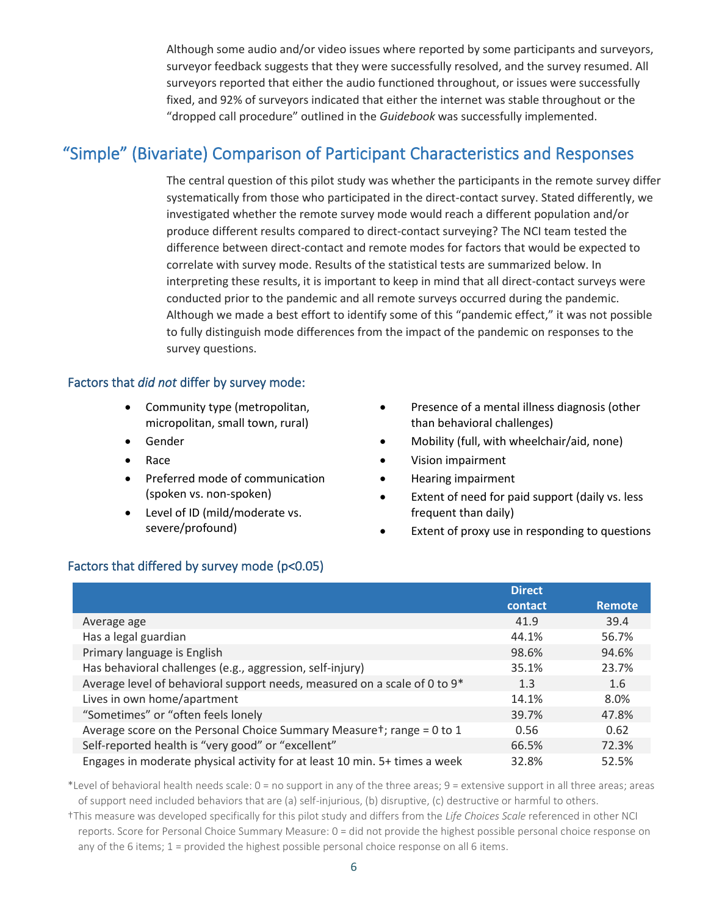Although some audio and/or video issues where reported by some participants and surveyors, surveyor feedback suggests that they were successfully resolved, and the survey resumed. All surveyors reported that either the audio functioned throughout, or issues were successfully fixed, and 92% of surveyors indicated that either the internet was stable throughout or the "dropped call procedure" outlined in the *Guidebook* was successfully implemented.

#### "Simple" (Bivariate) Comparison of Participant Characteristics and Responses

The central question of this pilot study was whether the participants in the remote survey differ systematically from those who participated in the direct-contact survey. Stated differently, we investigated whether the remote survey mode would reach a different population and/or produce different results compared to direct-contact surveying? The NCI team tested the difference between direct-contact and remote modes for factors that would be expected to correlate with survey mode. Results of the statistical tests are summarized below. In interpreting these results, it is important to keep in mind that all direct-contact surveys were conducted prior to the pandemic and all remote surveys occurred during the pandemic. Although we made a best effort to identify some of this "pandemic effect," it was not possible to fully distinguish mode differences from the impact of the pandemic on responses to the survey questions.

#### Factors that *did not* differ by survey mode:

- Community type (metropolitan, micropolitan, small town, rural)
- Gender
- Race
- Preferred mode of communication (spoken vs. non-spoken)
- Level of ID (mild/moderate vs. severe/profound)
- Presence of a mental illness diagnosis (other than behavioral challenges)
- Mobility (full, with wheelchair/aid, none)
- Vision impairment
- Hearing impairment
- Extent of need for paid support (daily vs. less frequent than daily)
- Extent of proxy use in responding to questions

#### Factors that differed by survey mode (p<0.05)

|                                                                            | <b>Direct</b> |               |
|----------------------------------------------------------------------------|---------------|---------------|
|                                                                            | contact       | <b>Remote</b> |
| Average age                                                                | 41.9          | 39.4          |
| Has a legal guardian                                                       | 44.1%         | 56.7%         |
| Primary language is English                                                | 98.6%         | 94.6%         |
| Has behavioral challenges (e.g., aggression, self-injury)                  | 35.1%         | 23.7%         |
| Average level of behavioral support needs, measured on a scale of 0 to 9*  | 1.3           | 1.6           |
| Lives in own home/apartment                                                | 14.1%         | 8.0%          |
| "Sometimes" or "often feels lonely                                         | 39.7%         | 47.8%         |
| Average score on the Personal Choice Summary Measuret; range = 0 to 1      | 0.56          | 0.62          |
| Self-reported health is "very good" or "excellent"                         | 66.5%         | 72.3%         |
| Engages in moderate physical activity for at least 10 min. 5+ times a week | 32.8%         | 52.5%         |

\*Level of behavioral health needs scale: 0 = no support in any of the three areas; 9 = extensive support in all three areas; areas of support need included behaviors that are (a) self-injurious, (b) disruptive, (c) destructive or harmful to others.

†This measure was developed specifically for this pilot study and differs from the *Life Choices Scale* referenced in other NCI reports. Score for Personal Choice Summary Measure: 0 = did not provide the highest possible personal choice response on any of the 6 items; 1 = provided the highest possible personal choice response on all 6 items.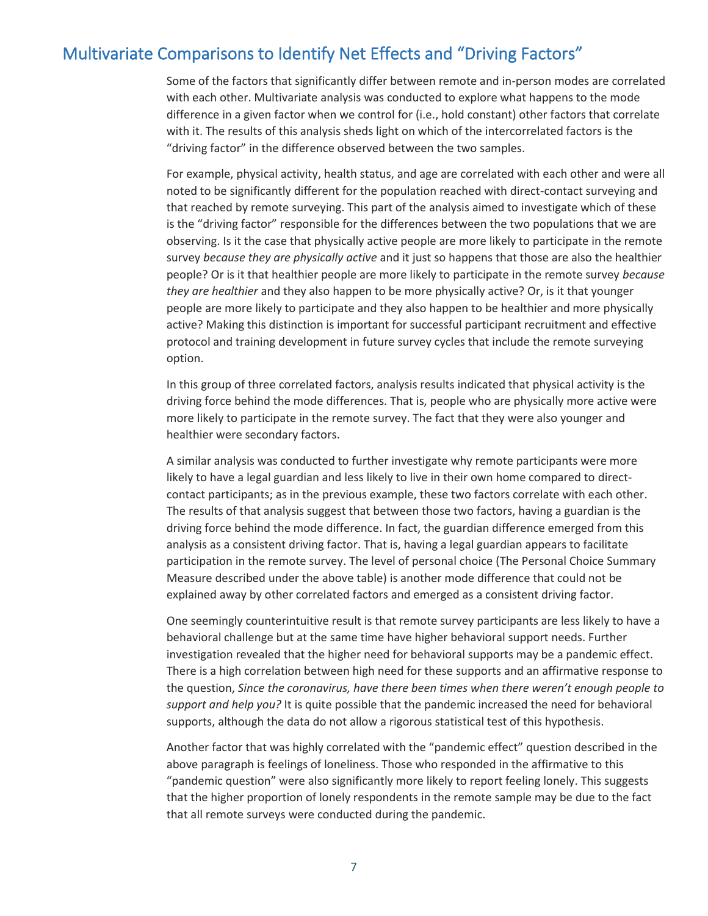#### Multivariate Comparisons to Identify Net Effects and "Driving Factors"

Some of the factors that significantly differ between remote and in-person modes are correlated with each other. Multivariate analysis was conducted to explore what happens to the mode difference in a given factor when we control for (i.e., hold constant) other factors that correlate with it. The results of this analysis sheds light on which of the intercorrelated factors is the "driving factor" in the difference observed between the two samples.

For example, physical activity, health status, and age are correlated with each other and were all noted to be significantly different for the population reached with direct-contact surveying and that reached by remote surveying. This part of the analysis aimed to investigate which of these is the "driving factor" responsible for the differences between the two populations that we are observing. Is it the case that physically active people are more likely to participate in the remote survey *because they are physically active* and it just so happens that those are also the healthier people? Or is it that healthier people are more likely to participate in the remote survey *because they are healthier* and they also happen to be more physically active? Or, is it that younger people are more likely to participate and they also happen to be healthier and more physically active? Making this distinction is important for successful participant recruitment and effective protocol and training development in future survey cycles that include the remote surveying option.

In this group of three correlated factors, analysis results indicated that physical activity is the driving force behind the mode differences. That is, people who are physically more active were more likely to participate in the remote survey. The fact that they were also younger and healthier were secondary factors.

A similar analysis was conducted to further investigate why remote participants were more likely to have a legal guardian and less likely to live in their own home compared to directcontact participants; as in the previous example, these two factors correlate with each other. The results of that analysis suggest that between those two factors, having a guardian is the driving force behind the mode difference. In fact, the guardian difference emerged from this analysis as a consistent driving factor. That is, having a legal guardian appears to facilitate participation in the remote survey. The level of personal choice (The Personal Choice Summary Measure described under the above table) is another mode difference that could not be explained away by other correlated factors and emerged as a consistent driving factor.

One seemingly counterintuitive result is that remote survey participants are less likely to have a behavioral challenge but at the same time have higher behavioral support needs. Further investigation revealed that the higher need for behavioral supports may be a pandemic effect. There is a high correlation between high need for these supports and an affirmative response to the question, *Since the coronavirus, have there been times when there weren't enough people to support and help you?* It is quite possible that the pandemic increased the need for behavioral supports, although the data do not allow a rigorous statistical test of this hypothesis.

Another factor that was highly correlated with the "pandemic effect" question described in the above paragraph is feelings of loneliness. Those who responded in the affirmative to this "pandemic question" were also significantly more likely to report feeling lonely. This suggests that the higher proportion of lonely respondents in the remote sample may be due to the fact that all remote surveys were conducted during the pandemic.